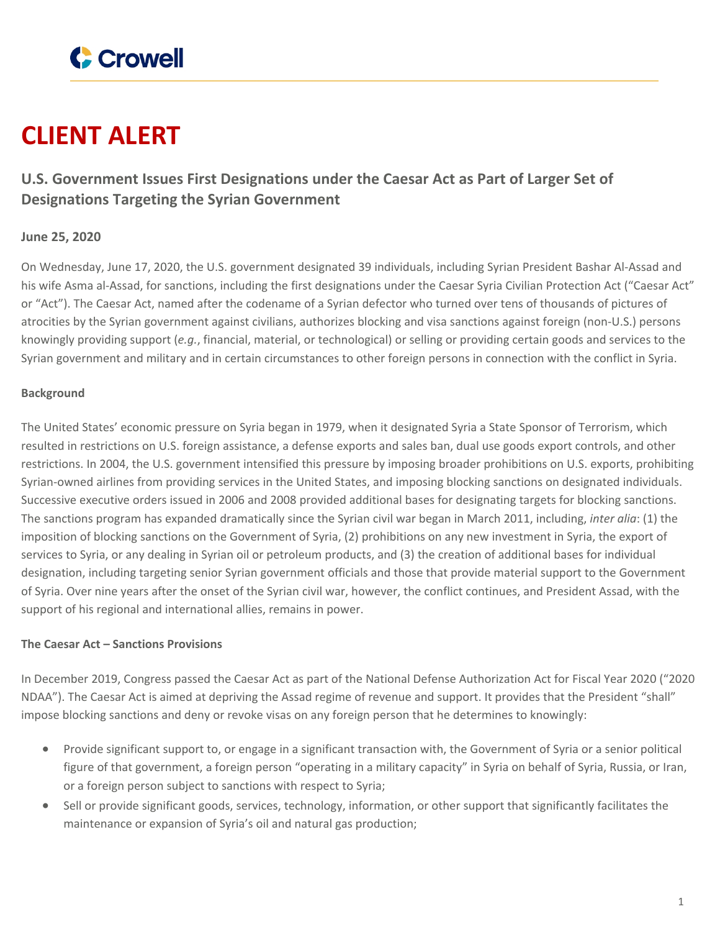

# **CLIENT ALERT**

# **U.S. Government Issues First Designations under the Caesar Act as Part of Larger Set of Designations Targeting the Syrian Government**

## **June 25, 2020**

On Wednesday, June 17, 2020, the U.S. government designated 39 individuals, including Syrian President Bashar Al-Assad and his wife Asma al-Assad, for sanctions, including the first designations under the Caesar Syria Civilian Protection Act ("Caesar Act" or "Act"). The Caesar Act, named after the codename of a Syrian defector who turned over tens of thousands of pictures of atrocities by the Syrian government against civilians, authorizes blocking and visa sanctions against foreign (non-U.S.) persons knowingly providing support (*e.g.*, financial, material, or technological) or selling or providing certain goods and services to the Syrian government and military and in certain circumstances to other foreign persons in connection with the conflict in Syria.

#### **Background**

The United States' economic pressure on Syria began in 1979, when it designated Syria a State Sponsor of Terrorism, which resulted in restrictions on U.S. foreign assistance, a defense exports and sales ban, dual use goods export controls, and other restrictions. In 2004, the U.S. government intensified this pressure by imposing broader prohibitions on U.S. exports, prohibiting Syrian-owned airlines from providing services in the United States, and imposing blocking sanctions on designated individuals. Successive executive orders issued in 2006 and 2008 provided additional bases for designating targets for blocking sanctions. The sanctions program has expanded dramatically since the Syrian civil war began in March 2011, including, *inter alia*: (1) the imposition of blocking sanctions on the Government of Syria, (2) prohibitions on any new investment in Syria, the export of services to Syria, or any dealing in Syrian oil or petroleum products, and (3) the creation of additional bases for individual designation, including targeting senior Syrian government officials and those that provide material support to the Government of Syria. Over nine years after the onset of the Syrian civil war, however, the conflict continues, and President Assad, with the support of his regional and international allies, remains in power.

#### **The Caesar Act – Sanctions Provisions**

In December 2019, Congress passed the Caesar Act as part of the National Defense Authorization Act for Fiscal Year 2020 ("2020 NDAA"). The Caesar Act is aimed at depriving the Assad regime of revenue and support. It provides that the President "shall" impose blocking sanctions and deny or revoke visas on any foreign person that he determines to knowingly:

- Provide significant support to, or engage in a significant transaction with, the Government of Syria or a senior political figure of that government, a foreign person "operating in a military capacity" in Syria on behalf of Syria, Russia, or Iran, or a foreign person subject to sanctions with respect to Syria;
- Sell or provide significant goods, services, technology, information, or other support that significantly facilitates the maintenance or expansion of Syria's oil and natural gas production;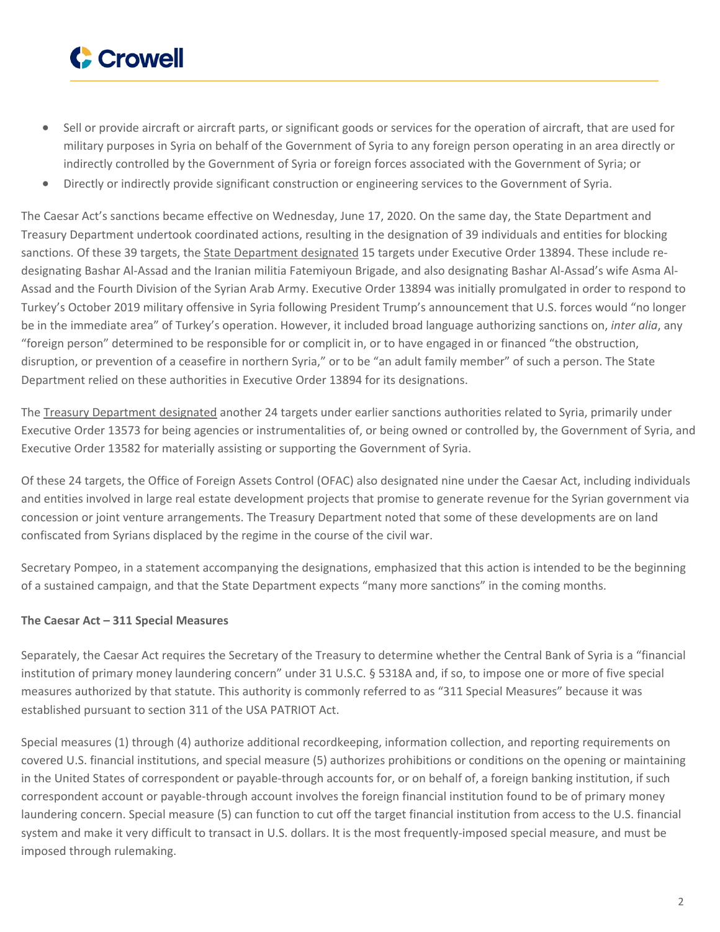

- Sell or provide aircraft or aircraft parts, or significant goods or services for the operation of aircraft, that are used for military purposes in Syria on behalf of the Government of Syria to any foreign person operating in an area directly or indirectly controlled by the Government of Syria or foreign forces associated with the Government of Syria; or
- Directly or indirectly provide significant construction or engineering services to the Government of Syria.

The Caesar Act's sanctions became effective on Wednesday, June 17, 2020. On the same day, the State Department and Treasury Department undertook coordinated actions, resulting in the designation of 39 individuals and entities for blocking sanctions. Of these 39 targets, the State [Department](https://www.state.gov/syria-caesar-act-designations/) designated 15 targets under Executive Order 13894. These include redesignating Bashar Al-Assad and the Iranian militia Fatemiyoun Brigade, and also designating Bashar Al-Assad's wife Asma Al-Assad and the Fourth Division of the Syrian Arab Army. Executive Order 13894 was initially promulgated in order to respond to Turkey's October 2019 military offensive in Syria following President Trump's announcement that U.S. forces would "no longer be in the immediate area" of Turkey's operation. However, it included broad language authorizing sanctions on, *inter alia*, any "foreign person" determined to be responsible for or complicit in, or to have engaged in or financed "the obstruction, disruption, or prevention of a ceasefire in northern Syria," or to be "an adult family member" of such a person. The State Department relied on these authorities in Executive Order 13894 for its designations.

The Treasury [Department](https://home.treasury.gov/news/press-releases/sm1037) designated another 24 targets under earlier sanctions authorities related to Syria, primarily under Executive Order 13573 for being agencies or instrumentalities of, or being owned or controlled by, the Government of Syria, and Executive Order 13582 for materially assisting or supporting the Government of Syria.

Of these 24 targets, the Office of Foreign Assets Control (OFAC) also designated nine under the Caesar Act, including individuals and entities involved in large real estate development projects that promise to generate revenue for the Syrian government via concession or joint venture arrangements. The Treasury Department noted that some of these developments are on land confiscated from Syrians displaced by the regime in the course of the civil war.

Secretary Pompeo, in a statement accompanying the designations, emphasized that this action is intended to be the beginning of a sustained campaign, and that the State Department expects "many more sanctions" in the coming months.

### **The Caesar Act – 311 Special Measures**

Separately, the Caesar Act requires the Secretary of the Treasury to determine whether the Central Bank of Syria is a "financial institution of primary money laundering concern" under 31 U.S.C. § 5318A and, if so, to impose one or more of five special measures authorized by that statute. This authority is commonly referred to as "311 Special Measures" because it was established pursuant to section 311 of the USA PATRIOT Act.

Special measures (1) through (4) authorize additional recordkeeping, information collection, and reporting requirements on covered U.S. financial institutions, and special measure (5) authorizes prohibitions or conditions on the opening or maintaining in the United States of correspondent or payable-through accounts for, or on behalf of, a foreign banking institution, if such correspondent account or payable-through account involves the foreign financial institution found to be of primary money laundering concern. Special measure (5) can function to cut off the target financial institution from access to the U.S. financial system and make it very difficult to transact in U.S. dollars. It is the most frequently-imposed special measure, and must be imposed through rulemaking.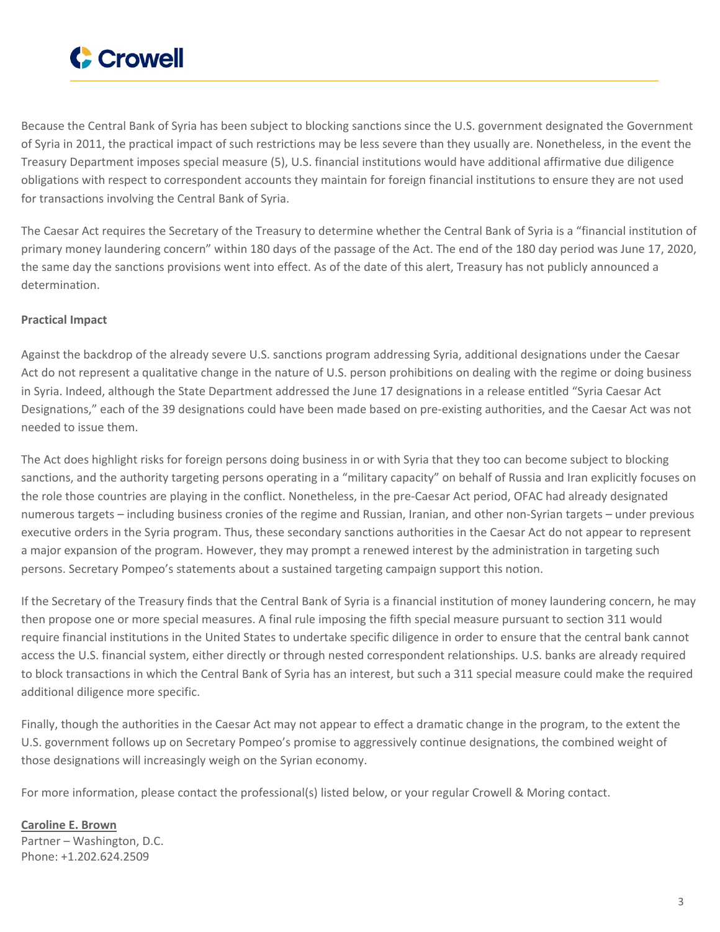

Because the Central Bank of Syria has been subject to blocking sanctions since the U.S. government designated the Government of Syria in 2011, the practical impact of such restrictions may be less severe than they usually are. Nonetheless, in the event the Treasury Department imposes special measure (5), U.S. financial institutions would have additional affirmative due diligence obligations with respect to correspondent accounts they maintain for foreign financial institutions to ensure they are not used for transactions involving the Central Bank of Syria.

The Caesar Act requires the Secretary of the Treasury to determine whether the Central Bank of Syria is a "financial institution of primary money laundering concern" within 180 days of the passage of the Act. The end of the 180 day period was June 17, 2020, the same day the sanctions provisions went into effect. As of the date of this alert, Treasury has not publicly announced a determination.

#### **Practical Impact**

Against the backdrop of the already severe U.S. sanctions program addressing Syria, additional designations under the Caesar Act do not represent a qualitative change in the nature of U.S. person prohibitions on dealing with the regime or doing business in Syria. Indeed, although the State Department addressed the June 17 designations in a release entitled "Syria Caesar Act Designations," each of the 39 designations could have been made based on pre-existing authorities, and the Caesar Act was not needed to issue them.

The Act does highlight risks for foreign persons doing business in or with Syria that they too can become subject to blocking sanctions, and the authority targeting persons operating in a "military capacity" on behalf of Russia and Iran explicitly focuses on the role those countries are playing in the conflict. Nonetheless, in the pre-Caesar Act period, OFAC had already designated numerous targets – including business cronies of the regime and Russian, Iranian, and other non-Syrian targets – under previous executive orders in the Syria program. Thus, these secondary sanctions authorities in the Caesar Act do not appear to represent a major expansion of the program. However, they may prompt a renewed interest by the administration in targeting such persons. Secretary Pompeo's statements about a sustained targeting campaign support this notion.

If the Secretary of the Treasury finds that the Central Bank of Syria is a financial institution of money laundering concern, he may then propose one or more special measures. A final rule imposing the fifth special measure pursuant to section 311 would require financial institutions in the United States to undertake specific diligence in order to ensure that the central bank cannot access the U.S. financial system, either directly or through nested correspondent relationships. U.S. banks are already required to block transactions in which the Central Bank of Syria has an interest, but such a 311 special measure could make the required additional diligence more specific.

Finally, though the authorities in the Caesar Act may not appear to effect a dramatic change in the program, to the extent the U.S. government follows up on Secretary Pompeo's promise to aggressively continue designations, the combined weight of those designations will increasingly weigh on the Syrian economy.

For more information, please contact the professional(s) listed below, or your regular Crowell & Moring contact.

**[Caroline](https://www.crowell.com/professionals/Caroline-Brown) E. Brown** Partner – Washington, D.C. Phone: +1.202.624.2509